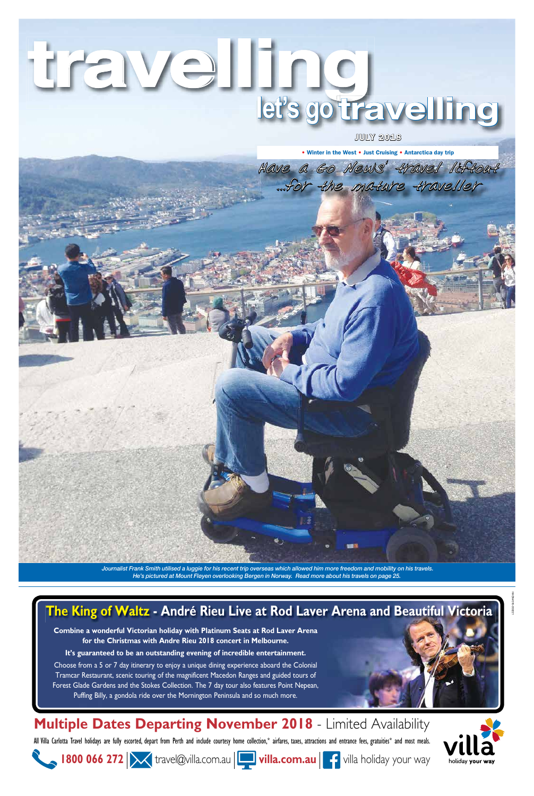# **travelling let's go travelling**

Have a Go News' travel liftout

...for the mature traveller

• Winter in the West • Just Cruising • Antarctica day trip

Journalist Frank Smith utilised a luggie for his recent trip overseas which allowed him more freedom and mobility on his travels. He's pictured at Mount Fløyen overlooking Bergen in Norway. Read more about his travels on page 25.

JULY 2018



All Villa Carlotta Travel holidays are fully escorted, depart from Perth and include courtesy home collection,\* airfares, taxes, attractions and entrance fees, gratuities\* and most meals.

**1800 066 272 | X** travel@villa.com.au | villa.com.au | 1 villa holiday your way



## **The King of Waltz - André Rieu Live at Rod Laver Arena and Beautiful Victoria**

**Combine a wonderful Victorian holiday with Platinum Seats at Rod Laver Arena for the Christmas with Andre Rieu 2018 concert in Melbourne.** 

**It's guaranteed to be an outstanding evening of incredible entertainment.**

Choose from a 5 or 7 day itinerary to enjoy a unique dining experience aboard the Colonial Tramcar Restaurant, scenic touring of the magnificent Macedon Ranges and guided tours of Forest Glade Gardens and the Stokes Collection. The 7 day tour also features Point Nepean, Puffing Billy, a gondola ride over the Mornington Peninsula and so much more.